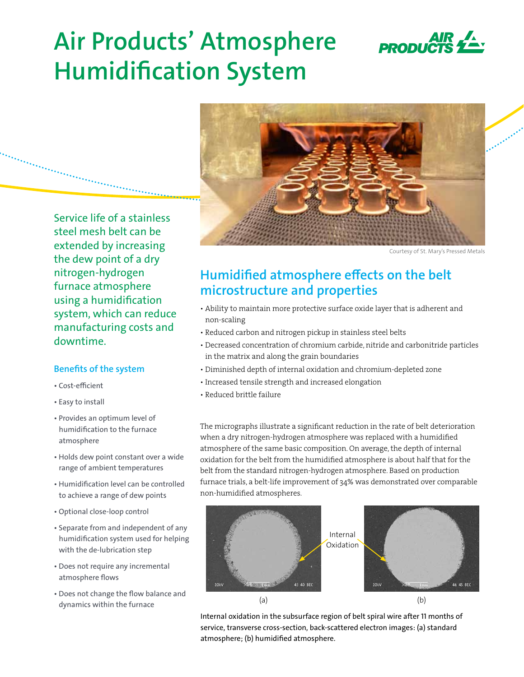

# **Air Products' Atmosphere Humidification System**



Courtesy of St. Mary's Pressed Metals

### Service life of a stainless steel mesh belt can be extended by increasing the dew point of a dry nitrogen-hydrogen furnace atmosphere using a humidification system, which can reduce manufacturing costs and downtime.

### **Benefits of the system**

- Cost-efficient
- Easy to install
- Provides an optimum level of humidification to the furnace atmosphere
- Holds dew point constant over a wide range of ambient temperatures
- Humidification level can be controlled to achieve a range of dew points
- Optional close-loop control
- Separate from and independent of any humidification system used for helping with the de-lubrication step
- Does not require any incremental atmosphere flows
- Does not change the flow balance and dynamics within the furnace

## **Humidified atmosphere effects on the belt microstructure and properties**

- Ability to maintain more protective surface oxide layer that is adherent and non-scaling
- Reduced carbon and nitrogen pickup in stainless steel belts
- Decreased concentration of chromium carbide, nitride and carbonitride particles in the matrix and along the grain boundaries
- Diminished depth of internal oxidation and chromium-depleted zone
- Increased tensile strength and increased elongation
- Reduced brittle failure

The micrographs illustrate a significant reduction in the rate of belt deterioration when a dry nitrogen-hydrogen atmosphere was replaced with a humidified atmosphere of the same basic composition. On average, the depth of internal oxidation for the belt from the humidified atmosphere is about half that for the belt from the standard nitrogen-hydrogen atmosphere. Based on production furnace trials, a belt-life improvement of 34% was demonstrated over comparable non-humidified atmospheres.





Internal oxidation in the subsurface region of belt spiral wire after 11 months of service, transverse cross-section, back-scattered electron images: (a) standard atmosphere; (b) humidified atmosphere.